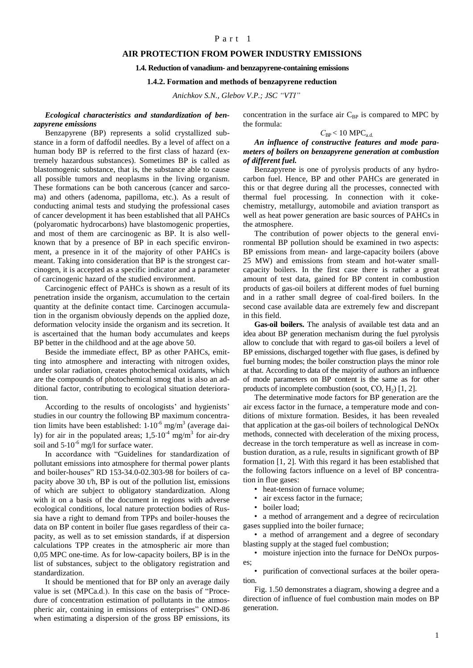# Part 1

## **AIR PROTECTION FROM POWER INDUSTRY EMISSIONS**

#### **1.4. Reduction of vanadium- and benzapyrene-containing emissions**

### **1.4.2. Formation and methods of benzapyrene reduction**

*Anichkov S.N., Glebov V.P.; JSC "VTI"*

## *Ecological characteristics and standardization of benzapyrene emissions*

Benzapyrene (BP) represents a solid crystallized substance in a form of daffodil needles. By a level of affect on a human body BP is referred to the first class of hazard (extremely hazardous substances). Sometimes BP is called as blastomogenic substance, that is, the substance able to cause all possible tumors and neoplasms in the living organism. These formations can be both cancerous (cancer and sarcoma) and others (adenoma, papilloma, etc.). As a result of conducting animal tests and studying the professional cases of cancer development it has been established that all PAHCs (polyaromatic hydrocarbons) have blastomogenic properties, and most of them are carcinogenic as BP. It is also wellknown that by a presence of BP in each specific environment, a presence in it of the majority of other PAHCs is meant. Taking into consideration that BP is the strongest carcinogen, it is accepted as a specific indicator and a parameter of carcinogenic hazard of the studied environment.

Carcinogenic effect of PAHCs is shown as a result of its penetration inside the organism, accumulation to the certain quantity at the definite contact time. Carcinogen accumulation in the organism obviously depends on the applied doze, deformation velocity inside the organism and its secretion. It is ascertained that the human body accumulates and keeps BP better in the childhood and at the age above 50.

Beside the immediate effect, BP as other PAHCs, emitting into atmosphere and interacting with nitrogen oxides, under solar radiation, creates photochemical oxidants, which are the compounds of photochemical smog that is also an additional factor, contributing to ecological situation deterioration.

According to the results of oncologists' and hygienists' studies in our country the following BP maximum concentration limits have been established:  $1.10^{-6}$  mg/m<sup>3</sup> (average daily) for air in the populated areas;  $1,5 \cdot 10^{-4}$  mg/m<sup>3</sup> for air-dry soil and  $5 \cdot 10^{-6}$  mg/l for surface water.

In accordance with "Guidelines for standardization of pollutant emissions into atmosphere for thermal power plants and boiler-houses" RD 153-34.0-02.303-98 for boilers of capacity above 30 t/h, BP is out of the pollution list, emissions of which are subject to obligatory standardization. Along with it on a basis of the document in regions with adverse ecological conditions, local nature protection bodies of Russia have a right to demand from TPPs and boiler-houses the data on BP content in boiler flue gases regardless of their capacity, as well as to set emission standards, if at dispersion calculations TPP creates in the atmospheric air more than 0,05 MPC one-time. As for low-capacity boilers, BP is in the list of substances, subject to the obligatory registration and standardization.

It should be mentioned that for BP only an average daily value is set (MPCa.d.). In this case on the basis of "Procedure of concentration estimation of pollutants in the atmospheric air, containing in emissions of enterprises" OND-86 when estimating a dispersion of the gross BP emissions, its

concentration in the surface air  $C_{BP}$  is compared to MPC by the formula:

## $C_{\text{BP}}$  < 10 MPC<sub>a.d.</sub>

*An influence of constructive features and mode parameters of boilers on benzapyrene generation at combustion of different fuel.*

Benzapyrene is one of pyrolysis products of any hydrocarbon fuel. Hence, BP and other PAHCs are generated in this or that degree during all the processes, connected with thermal fuel processing. In connection with it cokechemistry, metallurgy, automobile and aviation transport as well as heat power generation are basic sources of PAHCs in the atmosphere.

The contribution of power objects to the general environmental BP pollution should be examined in two aspects: BP emissions from mean- and large-capacity boilers (above 25 MW) and emissions from steam and hot-water smallcapacity boilers. In the first case there is rather a great amount of test data, gained for BP content in combustion products of gas-oil boilers at different modes of fuel burning and in a rather small degree of coal-fired boilers. In the second case available data are extremely few and discrepant in this field.

**Gas-oil boilers.** The analysis of available test data and an idea about BP generation mechanism during the fuel pyrolysis allow to conclude that with regard to gas-oil boilers a level of BP emissions, discharged together with flue gases, is defined by fuel burning modes; the boiler construction plays the minor role at that. According to data of the majority of authors an influence of mode parameters on BP content is the same as for other products of incomplete combustion (soot, CO,  $H_2$ ) [1, 2].

The determinative mode factors for BP generation are the air excess factor in the furnace, a temperature mode and conditions of mixture formation. Besides, it has been revealed that application at the gas-oil boilers of technological DeNOx methods, connected with deceleration of the mixing process, decrease in the torch temperature as well as increase in combustion duration, as a rule, results in significant growth of BP formation [1, 2]. With this regard it has been established that the following factors influence on a level of BP concentration in flue gases:

• heat-tension of furnace volume;

- air excess factor in the furnace;
- boiler load:

• a method of arrangement and a degree of recirculation gases supplied into the boiler furnace;

• a method of arrangement and a degree of secondary blasting supply at the staged fuel combustion;

• moisture injection into the furnace for DeNO<sub>x</sub> purposes;

• purification of convectional surfaces at the boiler operation.

Fig. 1.50 demonstrates a diagram, showing a degree and a direction of influence of fuel combustion main modes on BP generation.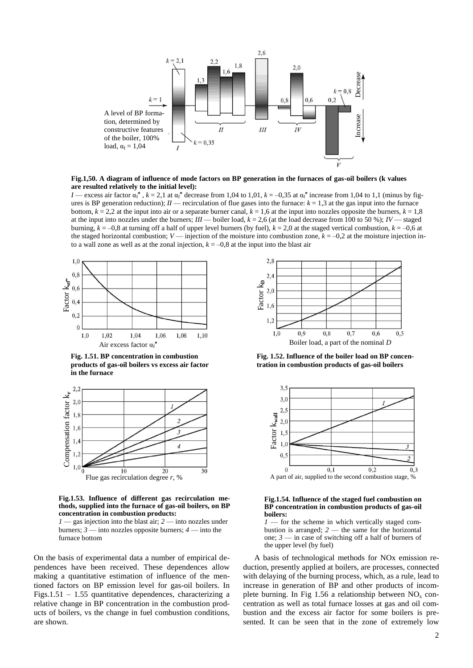

**Fig.1,50. A diagram of influence of mode factors on BP generation in the furnaces of gas-oil boilers (k values are resulted relatively to the initial level):**

*I* — excess air factor  $\alpha_i^r$ ,  $k = 2,1$  at  $\alpha_i^r$  decrease from 1,04 to 1,01,  $k = -0.35$  at  $\alpha_i^r$  increase from 1,04 to 1,1 (minus by figures is BP generation reduction);  $II$  — recirculation of flue gases into the furnace:  $k = 1,3$  at the gas input into the furnace bottom,  $k = 2,2$  at the input into air or a separate burner canal,  $k = 1,6$  at the input into nozzles opposite the burners,  $k = 1,8$ at the input into nozzles under the burners;  $III$ — boiler load,  $k = 2.6$  (at the load decrease from 100 to 50 %);  $IV$ — staged burning,  $k = -0.8$  at turning off a half of upper level burners (by fuel),  $k = 2.0$  at the staged vertical combustion,  $k = -0.6$  at the staged horizontal combustion;  $V$ — injection of the moisture into combustion zone,  $k = -0.2$  at the moisture injection into a wall zone as well as at the zonal injection,  $k = -0.8$  at the input into the blast air



**Fig. 1.51. BP concentration in combustion products of gas-oil boilers vs excess air factor in the furnace** 



**Fig.1.53. Influence of different gas recirculation methods, supplied into the furnace of gas-oil boilers, on BP concentration in combustion products:**

*1* — gas injection into the blast air; *2* — into nozzles under burners; *3* — into nozzles opposite burners; *4* — into the furnace bottom

On the basis of experimental data a number of empirical dependences have been received. These dependences allow making a quantitative estimation of influence of the mentioned factors on BP emission level for gas-oil boilers. In Figs.1.51 – 1.55 quantitative dependences, characterizing a relative change in BP concentration in the combustion products of boilers, vs the change in fuel combustion conditions, are shown.



**Fig. 1.52. Influence of the boiler load on BP concentration in combustion products of gas-oil boilers**





*1* — for the scheme in which vertically staged combustion is arranged;  $2$  — the same for the horizontal one; *3* — in case of switching off a half of burners of the upper level (by fuel)

A basis of technological methods for NOx emission reduction, presently applied at boilers, are processes, connected with delaying of the burning process, which, as a rule, lead to increase in generation of BP and other products of incomplete burning. In Fig 1.56 a relationship between  $NO<sub>x</sub>$  concentration as well as total furnace losses at gas and oil combustion and the excess air factor for some boilers is presented. It can be seen that in the zone of extremely low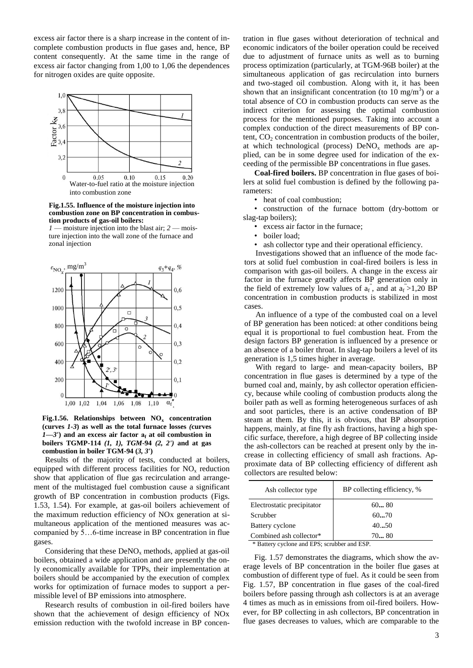excess air factor there is a sharp increase in the content of incomplete combustion products in flue gases and, hence, BP content consequently. At the same time in the range of excess air factor changing from 1,00 to 1,06 the dependences for nitrogen oxides are quite opposite.



### **Fig.1.55. Influence of the moisture injection into combustion zone on BP concentration in combustion products of gas-oil boilers:**

*1* — moisture injection into the blast air; *2* — moisture injection into the wall zone of the furnace and zonal injection



**Fig.1.56. Relationships between NO<sup>x</sup> concentration (curves** *1-3***) as well as the total furnace losses** *(***curves**  $1 - 3$ <sup>t</sup>) and an excess air factor  $a_f$  at oil combustion in **boilers TGMP-114** *(1, 1), TGM***-94** *(2, 2')* **and at gas combustion in boiler TGM-94 (***3, 3***')**

Results of the majority of tests, conducted at boilers, equipped with different process facilities for  $NO<sub>x</sub>$  reduction show that application of flue gas recirculation and arrangement of the multistaged fuel combustion cause a significant growth of BP concentration in combustion products (Figs. 1.53, 1.54). For example, at gas-oil boilers achievement of the maximum reduction efficiency of NOx generation at simultaneous application of the mentioned measures was accompanied by 5…6-time increase in BP concentration in flue gases.

Considering that these  $DeNO<sub>x</sub>$  methods, applied at gas-oil boilers, obtained a wide application and are presently the only economically available for TPPs, their implementation at boilers should be accompanied by the execution of complex works for optimization of furnace modes to support a permissible level of BP emissions into atmosphere.

Research results of combustion in oil-fired boilers have shown that the achievement of design efficiency of NOx emission reduction with the twofold increase in BP concentration in flue gases without deterioration of technical and economic indicators of the boiler operation could be received due to adjustment of furnace units as well as to burning process optimization (particularly, at TGM-96B boiler) at the simultaneous application of gas recirculation into burners and two-staged oil combustion. Along with it, it has been shown that an insignificant concentration (to 10 mg/m<sup>3</sup>) or a total absence of CO in combustion products can serve as the indirect criterion for assessing the optimal combustion process for the mentioned purposes. Taking into account a complex conduction of the direct measurements of BP content,  $CO<sub>2</sub>$  concentration in combustion products of the boiler, at which technological (process)  $DeNO<sub>x</sub>$  methods are applied, can be in some degree used for indication of the exceeding of the permissible BP concentrations in flue gases.

**Coal-fired boilers.** BP concentration in flue gases of boilers at solid fuel combustion is defined by the following parameters:

• heat of coal combustion:

• construction of the furnace bottom (dry-bottom or slag-tap boilers);

• excess air factor in the furnace;

- boiler load:
- ash collector type and their operational efficiency.

Investigations showed that an influence of the mode factors at solid fuel combustion in coal-fired boilers is less in comparison with gas-oil boilers. A change in the excess air factor in the furnace greatly affects BP generation only in the field of extremely low values of  $a_f$ , and at  $a_f > 1,20$  BP concentration in combustion products is stabilized in most cases.

An influence of a type of the combusted coal on a level of BP generation has been noticed: at other conditions being equal it is proportional to fuel combustion heat. From the design factors BP generation is influenced by a presence or an absence of a boiler throat. In slag-tap boilers a level of its generation is 1,5 times higher in average.

With regard to large- and mean-capacity boilers, BP concentration in flue gases is determined by a type of the burned coal and, mainly, by ash collector operation efficiency, because while cooling of combustion products along the boiler path as well as forming heterogeneous surfaces of ash and soot particles, there is an active condensation of BP steam at them. By this, it is obvious, that BP absorption happens, mainly, at fine fly ash fractions, having a high specific surface, therefore, a high degree of BP collecting inside the ash-collectors can be reached at present only by the increase in collecting efficiency of small ash fractions. Approximate data of BP collecting efficiency of different ash collectors are resulted below:

| Ash collector type         | BP collecting efficiency, % |
|----------------------------|-----------------------------|
| Electrostatic precipitator | 6080                        |
| Scrubber                   | 6070                        |
| Battery cyclone            | 4050                        |
| Combined ash collector*    | 70 80                       |

\* Battery cyclone and EPS; scrubber and ESP.

Fig. 1.57 demonstrates the diagrams, which show the average levels of BP concentration in the boiler flue gases at combustion of different type of fuel. As it could be seen from Fig. 1.57, BP concentration in flue gases of the coal-fired boilers before passing through ash collectors is at an average 4 times as much as in emissions from oil-fired boilers. However, for BP collecting in ash collectors, BP concentration in flue gases decreases to values, which are comparable to the